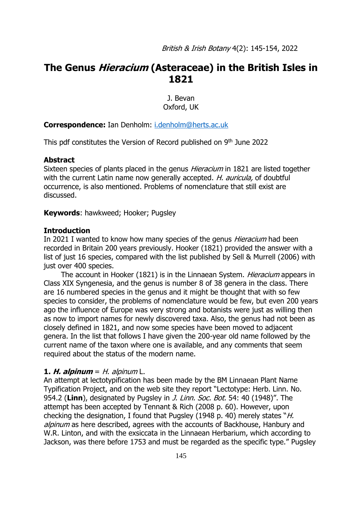# **The Genus Hieracium (Asteraceae) in the British Isles in 1821**

J. Bevan Oxford, UK

**Correspondence:** Ian Denholm: [i.denholm@herts.ac.uk](mailto:i.denholm@herts.ac.uk)

This pdf constitutes the Version of Record published on 9<sup>th</sup> June 2022

### **Abstract**

Sixteen species of plants placed in the genus *Hieracium* in 1821 are listed together with the current Latin name now generally accepted. *H. auricula,* of doubtful occurrence, is also mentioned. Problems of nomenclature that still exist are discussed.

**Keywords**: hawkweed; Hooker; Pugsley

### **Introduction**

In 2021 I wanted to know how many species of the genus *Hieracium* had been recorded in Britain 200 years previously. Hooker (1821) provided the answer with a list of just 16 species, compared with the list published by Sell & Murrell (2006) with just over 400 species.

The account in Hooker (1821) is in the Linnaean System. *Hieracium* appears in Class XIX Syngenesia, and the genus is number 8 of 38 genera in the class. There are 16 numbered species in the genus and it might be thought that with so few species to consider, the problems of nomenclature would be few, but even 200 years ago the influence of Europe was very strong and botanists were just as willing then as now to import names for newly discovered taxa. Also, the genus had not been as closely defined in 1821, and now some species have been moved to adjacent genera. In the list that follows I have given the 200-year old name followed by the current name of the taxon where one is available, and any comments that seem required about the status of the modern name.

## **1. H. alpinum** =  $H$ . alpinum  $L$ .

An attempt at lectotypification has been made by the BM Linnaean Plant Name Typification Project, and on the web site they report "Lectotype: Herb. Linn. No. 954.2 (**Linn**), designated by Pugsley in J. Linn. Soc. Bot. 54: 40 (1948)". The attempt has been accepted by Tennant & Rich (2008 p. 60). However, upon checking the designation, I found that Pugsley (1948 p. 40) merely states "H. alpinum as here described, agrees with the accounts of Backhouse, Hanbury and W.R. Linton, and with the exsiccata in the Linnaean Herbarium, which according to Jackson, was there before 1753 and must be regarded as the specific type." Pugsley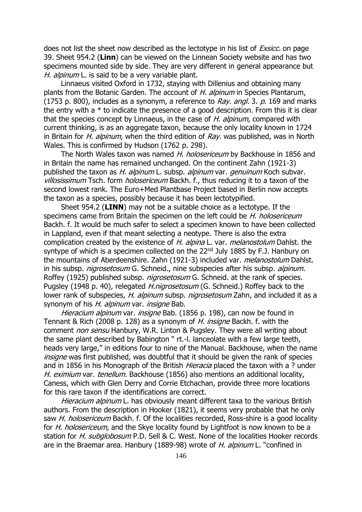does not list the sheet now described as the lectotype in his list of *Exsicc*, on page 39. Sheet 954.2 (**Linn**) can be viewed on the Linnean Society website and has two specimens mounted side by side. They are very different in general appearance but H. alpinum L. is said to be a very variable plant.

Linnaeus visited Oxford in 1732, staying with Dillenius and obtaining many plants from the Botanic Garden. The account of H. alpinum in Species Plantarum, (1753 p. 800), includes as a synonym, a reference to Ray. angl. 3. p. 169 and marks the entry with  $a *$  to indicate the presence of a good description. From this it is clear that the species concept by Linnaeus, in the case of H. alpinum, compared with current thinking, is as an aggregate taxon, because the only locality known in 1724 in Britain for *H. alpinum*, when the third edition of  $Ray$ . was published, was in North Wales. This is confirmed by Hudson (1762 p. 298).

The North Wales taxon was named H. holosericeum by Backhouse in 1856 and in Britain the name has remained unchanged. On the continent Zahn (1921-3) published the taxon as H. alpinum L. subsp. alpinum var. genuinum Koch subvar. villosissimum Tsch. form *holosericeum* Backh. f., thus reducing it to a taxon of the second lowest rank. The Euro+Med Plantbase Project based in Berlin now accepts the taxon as a species, possibly because it has been lectotypified.

Sheet 954.2 (**LINN**) may not be a suitable choice as a lectotype. If the specimens came from Britain the specimen on the left could be H. holosericeum Backh. f. It would be much safer to select a specimen known to have been collected in Lappland, even if that meant selecting a neotype. There is also the extra complication created by the existence of H. alpina L. var. melanostolum Dahlst. the syntype of which is a specimen collected on the 22<sup>nd</sup> July 1885 by F.J. Hanbury on the mountains of Aberdeenshire. Zahn (1921-3) included var. melanostolum Dahlst. in his subsp. *nigrosetosum* G. Schneid., nine subspecies after his subsp. *alpinum.* Roffey (1925) published subsp. *nigrosetosum* G. Schneid. at the rank of species. Pugsley (1948 p. 40), relegated *H.nigrosetosum* (G. Schneid.) Roffey back to the lower rank of subspecies, H. alpinum subsp. nigrosetosum Zahn, and included it as a synonym of his H. alpinum var. insigne Bab.

Hieracium alpinum var. insigne Bab. (1856 p. 198), can now be found in Tennant & Rich (2008 p. 128) as a synonym of *H. insigne* Backh. f. with the comment non sensu Hanbury, W.R. Linton & Pugsley. They were all writing about the same plant described by Babington " rt.-l. lanceolate with a few large teeth, heads very large," in editions four to nine of the Manual. Backhouse, when the name insigne was first published, was doubtful that it should be given the rank of species and in 1856 in his Monograph of the British *Hieracia* placed the taxon with a ? under H. eximium var. tenellum. Backhouse (1856) also mentions an additional locality, Caness, which with Glen Derry and Corrie Etchachan, provide three more locations for this rare taxon if the identifications are correct.

Hieracium alpinum L. has obviously meant different taxa to the various British authors. From the description in Hooker (1821), it seems very probable that he only saw *H. holosericeum* Backh. f. Of the localities recorded, Ross-shire is a good locality for H. holosericeum, and the Skye locality found by Lightfoot is now known to be a station for *H. subglobosum* P.D. Sell & C. West. None of the localities Hooker records are in the Braemar area. Hanbury (1889-98) wrote of *H. alpinum* L. "confined in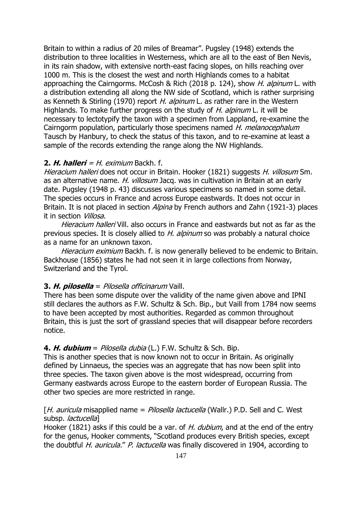Britain to within a radius of 20 miles of Breamar". Pugsley (1948) extends the distribution to three localities in Westerness, which are all to the east of Ben Nevis, in its rain shadow, with extensive north-east facing slopes, on hills reaching over 1000 m. This is the closest the west and north Highlands comes to a habitat approaching the Cairngorms. McCosh & Rich (2018 p. 124), show *H. alpinum* L. with a distribution extending all along the NW side of Scotland, which is rather surprising as Kenneth & Stirling (1970) report H. alpinum L. as rather rare in the Western Highlands. To make further progress on the study of H. alpinum L. it will be necessary to lectotypify the taxon with a specimen from Lappland, re-examine the Cairngorm population, particularly those specimens named H. melanocephalum Tausch by Hanbury, to check the status of this taxon, and to re-examine at least a sample of the records extending the range along the NW Highlands.

## **2. H. halleri** =  $H$ . eximium Backh. f.

Hieracium halleri does not occur in Britain. Hooker (1821) suggests H. villosum Sm. as an alternative name. H. villosum Jacq. was in cultivation in Britain at an early date. Pugsley (1948 p. 43) discusses various specimens so named in some detail. The species occurs in France and across Europe eastwards. It does not occur in Britain. It is not placed in section *Alpina* by French authors and Zahn (1921-3) places it in section *Villosa*.

Hieracium halleri Vill. also occurs in France and eastwards but not as far as the previous species. It is closely allied to *H. alpinum* so was probably a natural choice as a name for an unknown taxon.

Hieracium eximium Backh. f. is now generally believed to be endemic to Britain. Backhouse (1856) states he had not seen it in large collections from Norway, Switzerland and the Tyrol.

## **3. H. pilosella** = Pilosella officinarum Vaill.

There has been some dispute over the validity of the name given above and IPNI still declares the authors as F.W. Schultz & Sch. Bip., but Vaill from 1784 now seems to have been accepted by most authorities. Regarded as common throughout Britain, this is just the sort of grassland species that will disappear before recorders notice.

## **4. H. dubium** = Pilosella dubia (L.) F.W. Schultz & Sch. Bip.

This is another species that is now known not to occur in Britain. As originally defined by Linnaeus, the species was an aggregate that has now been split into three species. The taxon given above is the most widespread, occurring from Germany eastwards across Europe to the eastern border of European Russia. The other two species are more restricted in range.

## [H. auricula misapplied name = Pilosella lactucella (Wallr.) P.D. Sell and C. West subsp. *lactucella*]

Hooker (1821) asks if this could be a var. of *H. dubium*, and at the end of the entry for the genus, Hooker comments, "Scotland produces every British species, except the doubtful H. auricula." P. lactucella was finally discovered in 1904, according to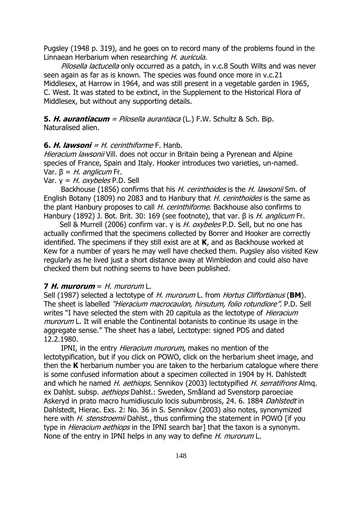Pugsley (1948 p. 319), and he goes on to record many of the problems found in the Linnaean Herbarium when researching H. auricula.

Pilosella lactucella only occurred as a patch, in v.c.8 South Wilts and was never seen again as far as is known. The species was found once more in v.c.21 Middlesex, at Harrow in 1964, and was still present in a vegetable garden in 1965, C. West. It was stated to be extinct, in the Supplement to the Historical Flora of Middlesex, but without any supporting details.

**5. H. aurantiacum** = Pilosella aurantiaca (L.) F.W. Schultz & Sch. Bip. Naturalised alien.

### **6. H. lawsoni** = H. cerinthiforme F. Hanb.

Hieracium lawsonii Vill. does not occur in Britain being a Pyrenean and Alpine species of France, Spain and Italy. Hooker introduces two varieties, un-named. Var.  $\beta = H$ . anglicum Fr.

Var.  $y = H$ . oxybeles P.D. Sell

Backhouse (1856) confirms that his H. cerinthoides is the H. lawsonii Sm. of English Botany (1809) no 2083 and to Hanbury that *H. cerinthoides* is the same as the plant Hanbury proposes to call H. cerinthiforme. Backhouse also confirms to Hanbury (1892) J. Bot. Brit. 30: 169 (see footnote), that var.  $\beta$  is H. anglicum Fr.

Sell & Murrell (2006) confirm var. γ is *H. oxybeles* P.D. Sell, but no one has actually confirmed that the specimens collected by Borrer and Hooker are correctly identified. The specimens if they still exist are at **K**, and as Backhouse worked at Kew for a number of years he may well have checked them. Pugsley also visited Kew regularly as he lived just a short distance away at Wimbledon and could also have checked them but nothing seems to have been published.

## **7 H. murorum** =  $H$ . murorum  $L$ .

Sell (1987) selected a lectotype of H. murorum L. from Hortus Cliffortianus (**BM**). The sheet is labelled "Hieracium macrocaulon, hirsutum, folio rotundiore". P.D. Sell writes "I have selected the stem with 20 capitula as the lectotype of *Hieracium* murorum L. It will enable the Continental botanists to continue its usage in the aggregate sense." The sheet has a label, Lectotype: signed PDS and dated 12.2.1980.

IPNI, in the entry *Hieracium murorum*, makes no mention of the lectotypification, but if you click on POWO, click on the herbarium sheet image, and then the **K** herbarium number you are taken to the herbarium catalogue where there is some confused information about a specimen collected in 1904 by H. Dahlstedt and which he named H. aethiops. Sennikov (2003) lectotypified H. serratifrons Almq. ex Dahlst. subsp. *aethiops* Dahlst.: Sweden, Småland ad Svenstorp paroeciae Askeryd in prato macro humidiusculo locis subumbrosis, 24. 6. 1884 Dahlstedt in Dahlstedt, Hierac. Exs. 2: No. 36 in S. Sennikov (2003) also notes, synonymized here with *H. stenstroemii* Dahlst., thus confirming the statement in POWO [if you type in *Hieracium aethiops* in the IPNI search bar] that the taxon is a synonym. None of the entry in IPNI helps in any way to define *H. murorum* L.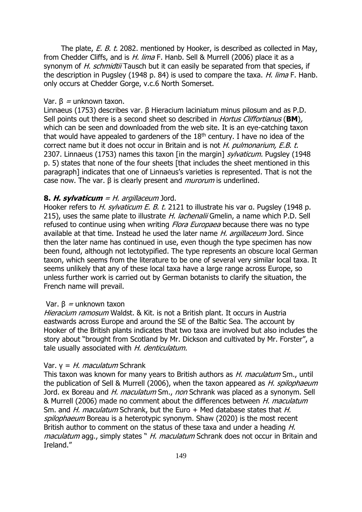The plate, E. B. t. 2082. mentioned by Hooker, is described as collected in May, from Chedder Cliffs, and is H. lima F. Hanb. Sell & Murrell (2006) place it as a synonym of H. schmidtij Tausch but it can easily be separated from that species, if the description in Pugsley (1948 p. 84) is used to compare the taxa.  $H$ . lima F. Hanb. only occurs at Chedder Gorge, v.c.6 North Somerset.

## Var.  $\beta$  = unknown taxon.

Linnaeus (1753) describes var. β Hieracium laciniatum minus pilosum and as P.D. Sell points out there is a second sheet so described in Hortus Cliffortianus (**BM**), which can be seen and downloaded from the web site. It is an eye-catching taxon that would have appealed to gardeners of the  $18<sup>th</sup>$  century. I have no idea of the correct name but it does not occur in Britain and is not H. pulmonarium, E.B. t. 2307. Linnaeus (1753) names this taxon [in the margin] sylvaticum. Pugsley (1948 p. 5) states that none of the four sheets [that includes the sheet mentioned in this paragraph] indicates that one of Linnaeus's varieties is represented. That is not the case now. The var.  $β$  is clearly present and *murorum* is underlined.

## **8. H. sylvaticum** = H. argillaceum Jord.

Hooker refers to H. sylvaticum E. B. t. 2121 to illustrate his var α. Pugsley (1948 p. 215), uses the same plate to illustrate H. lachenalii Gmelin, a name which P.D. Sell refused to continue using when writing *Flora Europaea* because there was no type available at that time. Instead he used the later name *H. argillaceum* Jord. Since then the later name has continued in use, even though the type specimen has now been found, although not lectotypified. The type represents an obscure local German taxon, which seems from the literature to be one of several very similar local taxa. It seems unlikely that any of these local taxa have a large range across Europe, so unless further work is carried out by German botanists to clarify the situation, the French name will prevail.

#### Var.  $β =$ unknown taxon

Hieracium ramosum Waldst. & Kit. is not a British plant. It occurs in Austria eastwards across Europe and around the SE of the Baltic Sea. The account by Hooker of the British plants indicates that two taxa are involved but also includes the story about "brought from Scotland by Mr. Dickson and cultivated by Mr. Forster", a tale usually associated with H. denticulatum.

## Var.  $y = H$ . *maculatum* Schrank

This taxon was known for many years to British authors as H. maculatum Sm., until the publication of Sell & Murrell (2006), when the taxon appeared as *H. spilophaeum* Jord. ex Boreau and *H. maculatum* Sm., non Schrank was placed as a synonym. Sell & Murrell (2006) made no comment about the differences between H. maculatum Sm. and H. maculatum Schrank, but the Euro + Med database states that H. spilophaeum Boreau is a heterotypic synonym. Shaw (2020) is the most recent British author to comment on the status of these taxa and under a heading H. maculatum agg., simply states " H. maculatum Schrank does not occur in Britain and Ireland."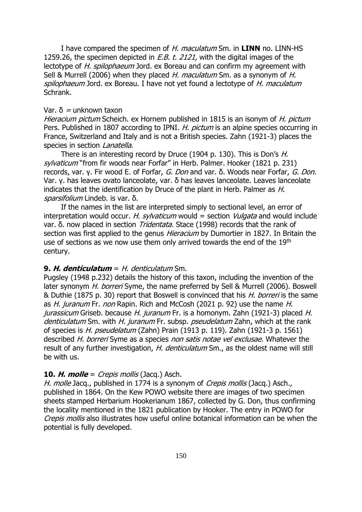I have compared the specimen of H. maculatum Sm. in **LINN** no. LINN-HS 1259.26, the specimen depicted in *E.B. t. 2121*, with the digital images of the lectotype of H. spilophaeum Jord. ex Boreau and can confirm my agreement with Sell & Murrell (2006) when they placed H. maculatum Sm. as a synonym of H. spilophaeum Jord, ex Boreau. I have not yet found a lectotype of H. maculatum Schrank.

## Var.  $\delta$  = unknown taxon

Hieracium pictum Scheich. ex Hornem published in 1815 is an isonym of H. pictum Pers. Published in 1807 according to IPNI. *H. pictum* is an alpine species occurring in France, Switzerland and Italy and is not a British species. Zahn (1921-3) places the species in section *Lanatella*.

There is an interesting record by Druce (1904 p. 130). This is Don's H. sylvaticum "from fir woods near Forfar" in Herb. Palmer. Hooker (1821 p. 231) records, var. γ. Fir wood E. of Forfar, G. Don and var. δ. Woods near Forfar, G. Don. Var. γ. has leaves ovato lanceolate, var. δ has leaves lanceolate. Leaves lanceolate indicates that the identification by Druce of the plant in Herb. Palmer as  $H$ . sparsifolium Lindeb. is var. δ.

If the names in the list are interpreted simply to sectional level, an error of interpretation would occur. H. sylvaticum would = section  $Vulgata$  and would include var. δ. now placed in section Tridentata. Stace (1998) records that the rank of section was first applied to the genus *Hieracium* by Dumortier in 1827. In Britain the use of sections as we now use them only arrived towards the end of the 19th century.

#### **9. H. denticulatum** = H. denticulatum Sm.

Pugsley (1948 p.232) details the history of this taxon, including the invention of the later synonym H. borreri Syme, the name preferred by Sell & Murrell (2006). Boswell & Duthie (1875 p. 30) report that Boswell is convinced that his *H. borreri* is the same as H. juranum Fr. non Rapin. Rich and McCosh (2021 p. 92) use the name H. jurassicum Griseb. because H. juranum Fr. is a homonym. Zahn (1921-3) placed H. denticulatum Sm. with H. juranum Fr. subsp. pseudelatum Zahn, which at the rank of species is H. pseudelatum (Zahn) Prain (1913 p. 119). Zahn (1921-3 p. 1561) described H. borreri Syme as a species non satis notae vel exclusae. Whatever the result of any further investigation, H. denticulatum Sm., as the oldest name will still be with us.

## **10. H. molle** = Crepis mollis (Jacq.) Asch.

H. molle Jacq., published in 1774 is a synonym of *Crepis mollis* (Jacq.) Asch., published in 1864. On the Kew POWO website there are images of two specimen sheets stamped Herbarium Hookerianum 1867, collected by G. Don, thus confirming the locality mentioned in the 1821 publication by Hooker. The entry in POWO for Crepis mollis also illustrates how useful online botanical information can be when the potential is fully developed.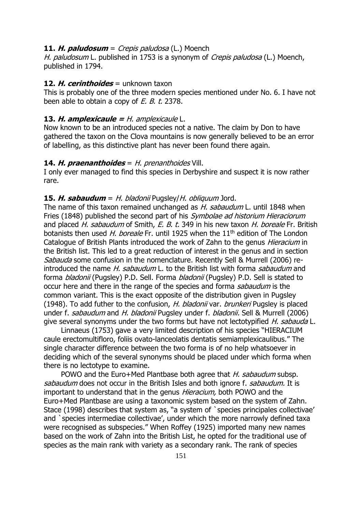## **11. H. paludosum** = Crepis paludosa (L.) Moench

H. paludosum L. published in 1753 is a synonym of Crepis paludosa (L.) Moench, published in 1794.

## **12. H. cerinthoides** = unknown taxon

This is probably one of the three modern species mentioned under No. 6. I have not been able to obtain a copy of E. B. t. 2378.

## **13. H. amplexicaule =** H. amplexicaule L.

Now known to be an introduced species not a native. The claim by Don to have gathered the taxon on the Clova mountains is now generally believed to be an error of labelling, as this distinctive plant has never been found there again.

## **14. H. praenanthoides** = H. prenanthoides Vill.

I only ever managed to find this species in Derbyshire and suspect it is now rather rare.

### **15. H. sabaudum** = H. bladonii Pugsley/H. obliquum Jord.

The name of this taxon remained unchanged as *H. sabaudum* L. until 1848 when Fries (1848) published the second part of his Symbolae ad historium Hieraciorum and placed H. sabaudum of Smith, E. B. t. 349 in his new taxon H. boreale Fr. British botanists then used H, boreale Fr. until 1925 when the  $11<sup>th</sup>$  edition of The London Catalogue of British Plants introduced the work of Zahn to the genus Hieracium in the British list. This led to a great reduction of interest in the genus and in section Sabauda some confusion in the nomenclature. Recently Sell & Murrell (2006) reintroduced the name H. sabaudum L. to the British list with forma sabaudum and forma *bladonii* (Pugsley) P.D. Sell. Forma *bladonii* (Pugsley) P.D. Sell is stated to occur here and there in the range of the species and forma sabaudum is the common variant. This is the exact opposite of the distribution given in Pugsley (1948). To add futher to the confusion, H. bladonii var. brunkeri Pugsley is placed under f. *sabaudum* and H. bladonii Pugsley under f. bladonii. Sell & Murrell (2006) give several synonyms under the two forms but have not lectotypified H. sabauda L.

Linnaeus (1753) gave a very limited description of his species "HIERACIUM caule erectomultifloro, foliis ovato-lanceolatis dentatis semiamplexicaulibus." The single character difference between the two forma is of no help whatsoever in deciding which of the several synonyms should be placed under which forma when there is no lectotype to examine.

POWO and the Euro+Med Plantbase both agree that *H. sabaudum* subsp. sabaudum does not occur in the British Isles and both ignore f. sabaudum. It is important to understand that in the genus *Hieracium*, both POWO and the Euro+Med Plantbase are using a taxonomic system based on the system of Zahn. Stace (1998) describes that system as, "a system of `species principales collectivae' and `species intermediae collectivae', under which the more narrowly defined taxa were recognised as subspecies." When Roffey (1925) imported many new names based on the work of Zahn into the British List, he opted for the traditional use of species as the main rank with variety as a secondary rank. The rank of species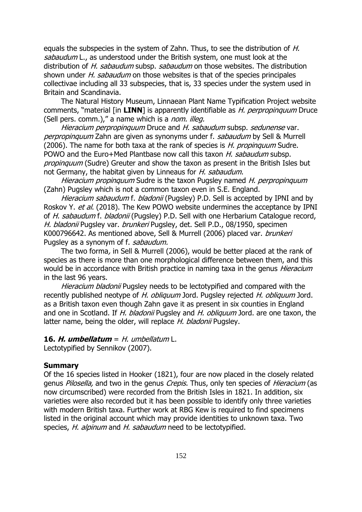equals the subspecies in the system of Zahn. Thus, to see the distribution of H. sabaudum L., as understood under the British system, one must look at the distribution of H. sabaudum subsp. sabaudum on those websites. The distribution shown under H. sabaudum on those websites is that of the species principales collectivae including all 33 subspecies, that is, 33 species under the system used in Britain and Scandinavia.

The Natural History Museum, Linnaean Plant Name Typification Project website comments, "material [in **LINN**] is apparently identifiable as H. perpropinquum Druce (Sell pers. comm.)," a name which is a nom. illeg.

Hieracium perpropinguum Druce and H. sabaudum subsp. sedunense var. perpropinquum Zahn are given as synonyms under f. sabaudum by Sell & Murrell (2006). The name for both taxa at the rank of species is *H. propinquum* Sudre. POWO and the Euro+Med Plantbase now call this taxon *H. sabaudum* subsp. propinguum (Sudre) Greuter and show the taxon as present in the British Isles but not Germany, the habitat given by Linneaus for H. sabaudum.

Hieracium propinquum Sudre is the taxon Pugsley named H. perpropinquum (Zahn) Pugsley which is not a common taxon even in S.E. England.

Hieracium sabaudum f. bladonii (Pugsley) P.D. Sell is accepted by IPNI and by Roskov Y. et al. (2018). The Kew POWO website undermines the acceptance by IPNI of H. sabaudum f. bladonii (Pugsley) P.D. Sell with one Herbarium Catalogue record, H. bladonii Pugsley var. brunkeri Pugsley, det. Sell P.D., 08/1950, specimen K000796642. As mentioned above, Sell & Murrell (2006) placed var. brunkeri Pugsley as a synonym of f. sabaudum.

The two forma, in Sell & Murrell (2006), would be better placed at the rank of species as there is more than one morphological difference between them, and this would be in accordance with British practice in naming taxa in the genus *Hieracium* in the last 96 years.

Hieracium bladonii Pugsley needs to be lectotypified and compared with the recently published neotype of H. obliquum Jord. Pugsley rejected H. obliquum Jord. as a British taxon even though Zahn gave it as present in six counties in England and one in Scotland. If H. bladonii Pugsley and H. obliquum Jord. are one taxon, the latter name, being the older, will replace H. bladonii Pugsley.

## **16. H. umbellatum** = H. umbellatum L.

Lectotypified by Sennikov (2007).

## **Summary**

Of the 16 species listed in Hooker (1821), four are now placed in the closely related genus Pilosella, and two in the genus Crepis. Thus, only ten species of Hieracium (as now circumscribed) were recorded from the British Isles in 1821. In addition, six varieties were also recorded but it has been possible to identify only three varieties with modern British taxa. Further work at RBG Kew is required to find specimens listed in the original account which may provide identities to unknown taxa. Two species, H. alpinum and H. sabaudum need to be lectotypified.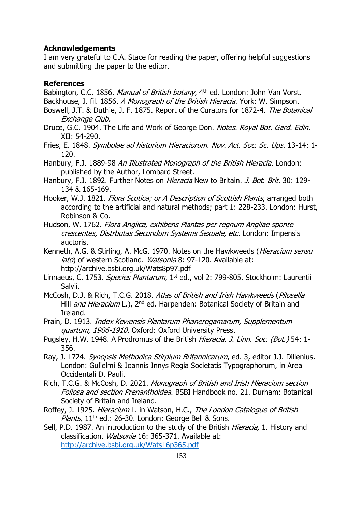## **Acknowledgements**

I am very grateful to C.A. Stace for reading the paper, offering helpful suggestions and submitting the paper to the editor.

## **References**

Babington, C.C. 1856. Manual of British botany, 4<sup>th</sup> ed. London: John Van Vorst.

Backhouse, J. fil. 1856. A Monograph of the British Hieracia. York: W. Simpson.

- Boswell, J.T. & Duthie, J. F. 1875. Report of the Curators for 1872-4. The Botanical Exchange Club.
- Druce, G.C. 1904. The Life and Work of George Don. Notes. Royal Bot. Gard. Edin. XII: 54-290.
- Fries, E. 1848. Symbolae ad historium Hieraciorum. Nov. Act. Soc. Sc. Ups. 13-14: 1- 120.
- Hanbury, F.J. 1889-98 An Illustrated Monograph of the British Hieracia. London: published by the Author, Lombard Street.
- Hanbury, F.J. 1892. Further Notes on *Hieracia* New to Britain. *J. Bot. Brit.* 30: 129-134 & 165-169.
- Hooker, W.J. 1821. Flora Scotica; or A Description of Scottish Plants, arranged both according to the artificial and natural methods; part 1: 228-233. London: Hurst, Robinson & Co.
- Hudson, W. 1762. Flora Anglica, exhibens Plantas per regnum Angliae sponte crescentes, Distrbutas Secundum Systems Sexuale, etc. London: Impensis auctoris.
- Kenneth, A.G. & Stirling, A. McG. 1970. Notes on the Hawkweeds (*Hieracium sensu* lato) of western Scotland. Watsonia 8: 97-120. Available at: http://archive.bsbi.org.uk/Wats8p97.pdf
- Linnaeus, C. 1753. Species Plantarum, 1<sup>st</sup> ed., vol 2: 799-805. Stockholm: Laurentii Salvii.
- McCosh, D.J. & Rich, T.C.G. 2018. Atlas of British and Irish Hawkweeds (Pilosella Hill *and Hieracium* L.), 2<sup>nd</sup> ed. Harpenden: Botanical Society of Britain and Ireland.
- Prain, D. 1913. Index Kewensis Plantarum Phanerogamarum, Supplementum quartum, 1906-1910. Oxford: Oxford University Press.
- Pugsley, H.W. 1948. A Prodromus of the British Hieracia. J. Linn. Soc. (Bot.) 54: 1-356.
- Ray, J. 1724. Synopsis Methodica Stirpium Britannicarum, ed. 3, editor J.J. Dillenius. London: Gulielmi & Joannis Innys Regia Societatis Typographorum, in Area Occidentali D. Pauli.
- Rich, T.C.G. & McCosh, D. 2021. Monograph of British and Irish Hieracium section Foliosa and section Prenanthoidea. BSBI Handbook no. 21. Durham: Botanical Society of Britain and Ireland.
- Roffey, J. 1925. Hieracium L. in Watson, H.C., The London Catalogue of British *Plants,*  $11<sup>th</sup>$  ed.: 26-30. London: George Bell & Sons.
- Sell, P.D. 1987. An introduction to the study of the British *Hieracia*, 1. History and classification. Watsonia 16: 365-371. Available at: <http://archive.bsbi.org.uk/Wats16p365.pdf>